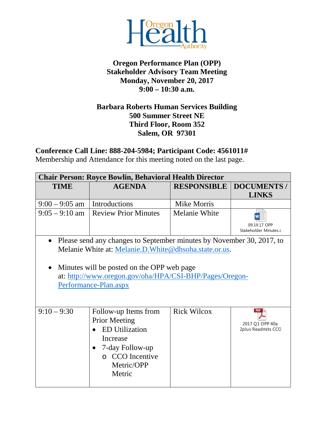

## **Oregon Performance Plan (OPP) Stakeholder Advisory Team Meeting Monday, November 20, 2017 9:00 – 10:30 a.m.**

## **Barbara Roberts Human Services Building 500 Summer Street NE Third Floor, Room 352 Salem, OR 97301**

**Conference Call Line: 888-204-5984; Participant Code: 4561011#**

Membership and Attendance for this meeting noted on the last page.

| <b>Chair Person: Royce Bowlin, Behavioral Health Director</b>                                                                                                                                                                                                                  |                                                                                                                                                 |                      |                                                     |
|--------------------------------------------------------------------------------------------------------------------------------------------------------------------------------------------------------------------------------------------------------------------------------|-------------------------------------------------------------------------------------------------------------------------------------------------|----------------------|-----------------------------------------------------|
| <b>TIME</b>                                                                                                                                                                                                                                                                    | <b>AGENDA</b>                                                                                                                                   | <b>RESPONSIBLE</b>   | <b>DOCUMENTS /</b><br><b>LINKS</b>                  |
| $9:00 - 9:05$ am                                                                                                                                                                                                                                                               | Introductions                                                                                                                                   | <b>Mike Morris</b>   |                                                     |
| $9:05 - 9:10$ am                                                                                                                                                                                                                                                               | <b>Review Prior Minutes</b>                                                                                                                     | <b>Melanie White</b> | 09.19.17 OPP<br>Stakeholder Minutes.c               |
| Please send any changes to September minutes by November 30, 2017, to<br>$\bullet$<br>Melanie White at: Melanie.D. White@dhsoha.state.or.us.<br>Minutes will be posted on the OPP web page<br>at: http://www.oregon.gov/oha/HPA/CSI-BHP/Pages/Oregon-<br>Performance-Plan.aspx |                                                                                                                                                 |                      |                                                     |
| $9:10 - 9:30$                                                                                                                                                                                                                                                                  | Follow-up Items from<br><b>Prior Meeting</b><br><b>ED</b> Utilization<br>Increase<br>7-day Follow-up<br>o CCO Incentive<br>Metric/OPP<br>Metric | <b>Rick Wilcox</b>   | <b>PDF</b><br>2017 Q1 OPP 40a<br>2plus Readmits CCO |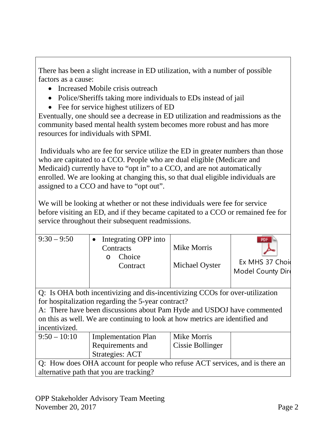There has been a slight increase in ED utilization, with a number of possible factors as a cause:

- Increased Mobile crisis outreach
- Police/Sheriffs taking more individuals to EDs instead of jail
- Fee for service highest utilizers of ED

Eventually, one should see a decrease in ED utilization and readmissions as the community based mental health system becomes more robust and has more resources for individuals with SPMI.

Individuals who are fee for service utilize the ED in greater numbers than those who are capitated to a CCO. People who are dual eligible (Medicare and Medicaid) currently have to "opt in" to a CCO, and are not automatically enrolled. We are looking at changing this, so that dual eligible individuals are assigned to a CCO and have to "opt out".

We will be looking at whether or not these individuals were fee for service before visiting an ED, and if they became capitated to a CCO or remained fee for service throughout their subsequent readmissions.

| $9:30 - 9:50$                                                                                                                                                                                                | Integrating OPP into<br>Contracts<br>Choice<br>∩<br>Contract | Mike Morris<br>Michael Oyster | Ex MHS 37 Choid<br>Model County Dire |  |
|--------------------------------------------------------------------------------------------------------------------------------------------------------------------------------------------------------------|--------------------------------------------------------------|-------------------------------|--------------------------------------|--|
| Q: Is OHA both incentivizing and dis-incentivizing CCOs for over-utilization<br>for hospitalization regarding the 5-year contract?<br>A: There have been discussions about Pam Hyde and USDOJ have commented |                                                              |                               |                                      |  |
| on this as well. We are continuing to look at how metrics are identified and<br>incentivized.                                                                                                                |                                                              |                               |                                      |  |
| $9:50 - 10:10$                                                                                                                                                                                               | <b>Implementation Plan</b>                                   | <b>Mike Morris</b>            |                                      |  |
|                                                                                                                                                                                                              | Requirements and                                             | Cissie Bollinger              |                                      |  |
|                                                                                                                                                                                                              | Strategies: ACT                                              |                               |                                      |  |
| Q: How does OHA account for people who refuse ACT services, and is there an                                                                                                                                  |                                                              |                               |                                      |  |
| alternative path that you are tracking?                                                                                                                                                                      |                                                              |                               |                                      |  |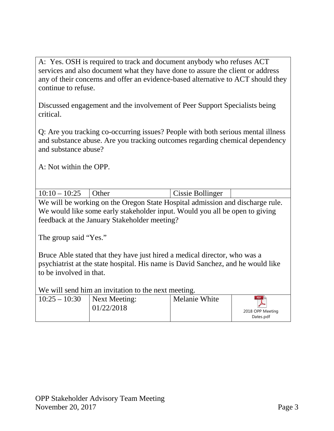A: Yes. OSH is required to track and document anybody who refuses ACT services and also document what they have done to assure the client or address any of their concerns and offer an evidence-based alternative to ACT should they continue to refuse.

Discussed engagement and the involvement of Peer Support Specialists being critical.

Q: Are you tracking co-occurring issues? People with both serious mental illness and substance abuse. Are you tracking outcomes regarding chemical dependency and substance abuse?

A: Not within the OPP.

| $10:10 - 10:25$ Other | <b>Cissie Bollinger</b> |  |
|-----------------------|-------------------------|--|
|                       |                         |  |

We will be working on the Oregon State Hospital admission and discharge rule. We would like some early stakeholder input. Would you all be open to giving feedback at the January Stakeholder meeting?

The group said "Yes."

Bruce Able stated that they have just hired a medical director, who was a psychiatrist at the state hospital. His name is David Sanchez, and he would like to be involved in that.

We will send him an invitation to the next meeting.

| $10:25 - 10:30$<br>Next Meeting:<br>01/22/2018 | Melanie White | PDF<br>2018 OPP Meeting<br>Dates.pdf |
|------------------------------------------------|---------------|--------------------------------------|
|------------------------------------------------|---------------|--------------------------------------|